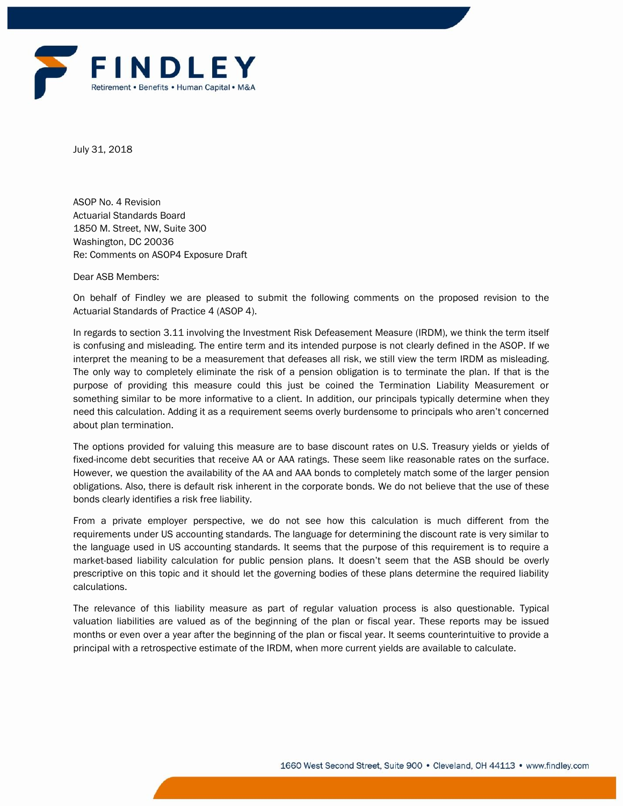

July 31, 2018

ASOP No. 4 Revision Actuarial Standards Board 1850 M. Street, NW, Suite 300 Washington, DC 20036 Re: Comments on ASOP4 Exposure Draft

Dear ASB Members:

On behalf of Findley we are pleased to submit the following comments on the proposed revision to the Actuarial Standards of Practice 4 (ASOP 4).

In regards to section 3.11 involving the Investment Risk Defeasement Measure (IRDM), we think the term itself is confusing and misleading. The entire term and its intended purpose is not clearly defined in the ASOP. If we interpret the meaning to be a measurement that defeases all risk, we still view the term IRDM as misleading. The only way to completely eliminate the risk of a pension obligation is to terminate the plan. If that is the purpose of providing this measure could this just be coined the Termination Liability Measurement or something similar to be more informative to a client. In addition, our principals typically determine when they need this calculation. Adding it as a requirement seems overly burdensome to principals who aren't concerned about plan termination.

The options provided for valuing this measure are to base discount rates on U.S. Treasury yields or yields of fixed-income debt securities that receive AA or AAA ratings. These seem like reasonable rates on the surface. However, we question the availability of the AA and AAA bonds to completely match some of the larger pension obligations. Also, there is default risk inherent in the corporate bonds. We do not believe that the use of these bonds clearly identifies a risk free liability.

From a private employer perspective, we do not see how this calculation is much different from the requirements under US accounting standards. The language for determining the discount rate is very similar to the language used in US accounting standards. It seems that the purpose of this requirement is to require a market-based liability calculation for public pension plans. It doesn't seem that the ASB should be overly prescriptive on this topic and it should let the governing bodies of these plans determine the required liability calculations.

The relevance of this liability measure as part of regular valuation process is also questionable. Typical valuation liabilities are valued as of the beginning of the plan or fiscal year. These reports may be issued months or even over a year after the beginning of the plan or fiscal year. It seems counterintuitive to provide a principal with a retrospective estimate of the IRDM, when more current yields are available to calculate.